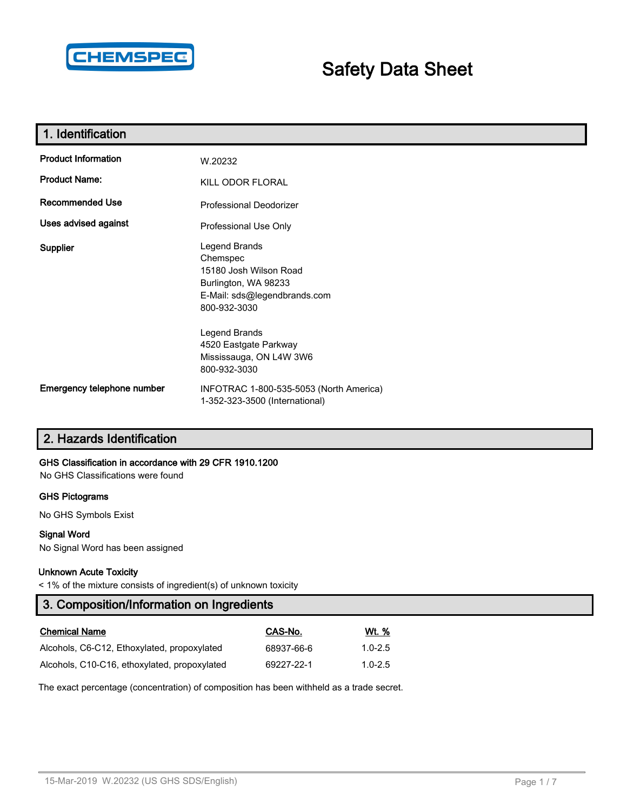

# **Safety Data Sheet**

| 1. Identification           |                                                                                                                             |  |  |  |
|-----------------------------|-----------------------------------------------------------------------------------------------------------------------------|--|--|--|
| <b>Product Information</b>  | W.20232                                                                                                                     |  |  |  |
| <b>Product Name:</b>        | KILL ODOR FLORAL                                                                                                            |  |  |  |
| <b>Recommended Use</b>      | <b>Professional Deodorizer</b>                                                                                              |  |  |  |
| <b>Uses advised against</b> | Professional Use Only                                                                                                       |  |  |  |
| Supplier                    | Legend Brands<br>Chemspec<br>15180 Josh Wilson Road<br>Burlington, WA 98233<br>E-Mail: sds@legendbrands.com<br>800-932-3030 |  |  |  |
|                             | Legend Brands<br>4520 Eastgate Parkway<br>Mississauga, ON L4W 3W6<br>800-932-3030                                           |  |  |  |
| Emergency telephone number  | INFOTRAC 1-800-535-5053 (North America)<br>1-352-323-3500 (International)                                                   |  |  |  |

## **2. Hazards Identification**

## **GHS Classification in accordance with 29 CFR 1910.1200**

No GHS Classifications were found

#### **GHS Pictograms**

No GHS Symbols Exist

#### **Signal Word**

No Signal Word has been assigned

#### **Unknown Acute Toxicity**

< 1% of the mixture consists of ingredient(s) of unknown toxicity

## **3. Composition/Information on Ingredients**

| <b>Chemical Name</b>                         | CAS-No.    | Wt. %       |
|----------------------------------------------|------------|-------------|
| Alcohols, C6-C12, Ethoxylated, propoxylated  | 68937-66-6 | $1.0 - 2.5$ |
| Alcohols, C10-C16, ethoxylated, propoxylated | 69227-22-1 | $1.0 - 2.5$ |

The exact percentage (concentration) of composition has been withheld as a trade secret.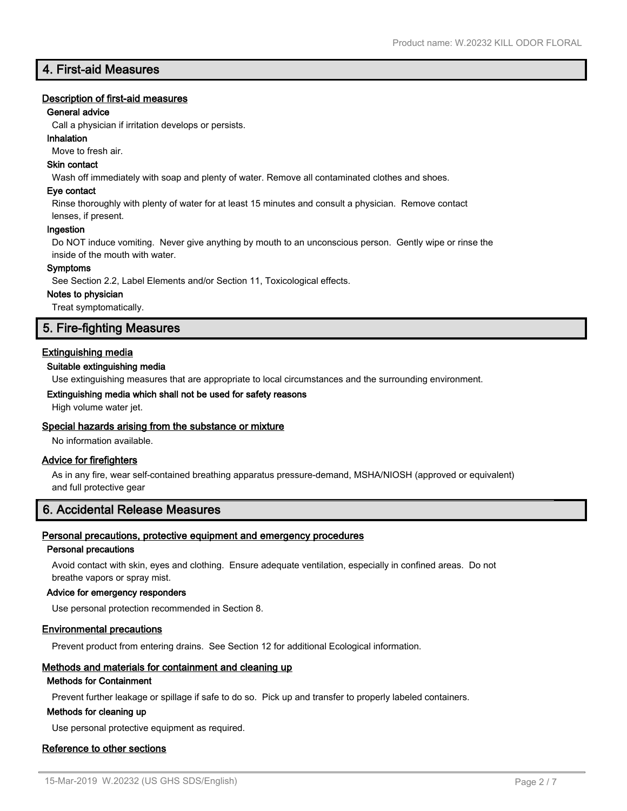## **4. First-aid Measures**

### **Description of first-aid measures**

#### **General advice**

Call a physician if irritation develops or persists.

#### **Inhalation**

Move to fresh air.

## **Skin contact**

Wash off immediately with soap and plenty of water. Remove all contaminated clothes and shoes.

#### **Eye contact**

Rinse thoroughly with plenty of water for at least 15 minutes and consult a physician. Remove contact

## lenses, if present.

**Ingestion**

Do NOT induce vomiting. Never give anything by mouth to an unconscious person. Gently wipe or rinse the inside of the mouth with water.

#### **Symptoms**

See Section 2.2, Label Elements and/or Section 11, Toxicological effects.

#### **Notes to physician**

Treat symptomatically.

## **5. Fire-fighting Measures**

## **Extinguishing media**

#### **Suitable extinguishing media**

Use extinguishing measures that are appropriate to local circumstances and the surrounding environment.

## **Extinguishing media which shall not be used for safety reasons**

High volume water jet.

#### **Special hazards arising from the substance or mixture**

No information available.

#### **Advice for firefighters**

As in any fire, wear self-contained breathing apparatus pressure-demand, MSHA/NIOSH (approved or equivalent) and full protective gear

## **6. Accidental Release Measures**

#### **Personal precautions, protective equipment and emergency procedures**

#### **Personal precautions**

Avoid contact with skin, eyes and clothing. Ensure adequate ventilation, especially in confined areas. Do not breathe vapors or spray mist.

#### **Advice for emergency responders**

Use personal protection recommended in Section 8.

#### **Environmental precautions**

Prevent product from entering drains. See Section 12 for additional Ecological information.

## **Methods and materials for containment and cleaning up**

## **Methods for Containment**

Prevent further leakage or spillage if safe to do so. Pick up and transfer to properly labeled containers.

#### **Methods for cleaning up**

Use personal protective equipment as required.

#### **Reference to other sections**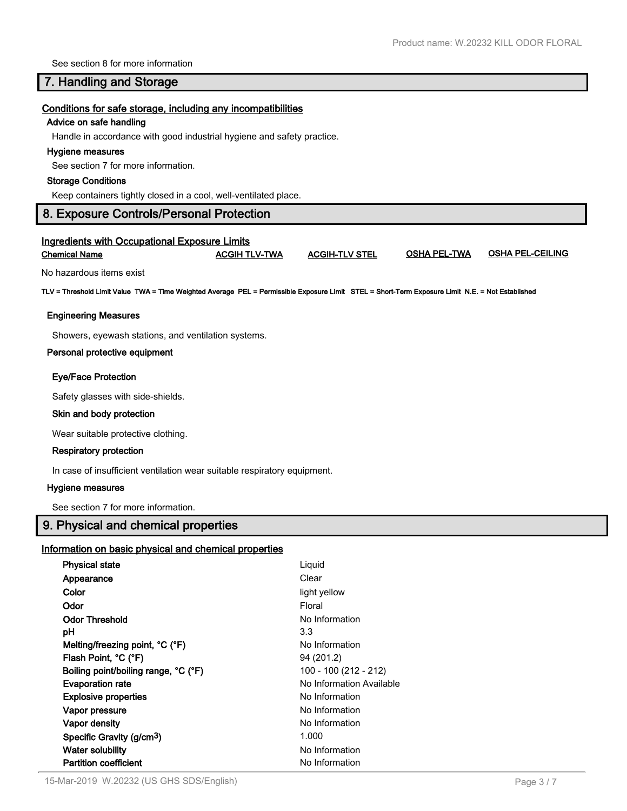See section 8 for more information

## **7. Handling and Storage**

#### **Conditions for safe storage, including any incompatibilities**

#### **Advice on safe handling**

Handle in accordance with good industrial hygiene and safety practice.

#### **Hygiene measures**

See section 7 for more information.

#### **Storage Conditions**

Keep containers tightly closed in a cool, well-ventilated place.

## **8. Exposure Controls/Personal Protection**

# **Ingredients with Occupational Exposure Limits Chemical Name ACGIH TLV-TWA ACGIH-TLV STEL OSHA PEL-TWA OSHA PEL-CEILING** No hazardous items exist **TLV = Threshold Limit Value TWA = Time Weighted Average PEL = Permissible Exposure Limit STEL = Short-Term Exposure Limit N.E. = Not Established Engineering Measures** Showers, eyewash stations, and ventilation systems. **Personal protective equipment Eye/Face Protection** Safety glasses with side-shields.  **Skin and body protection** Wear suitable protective clothing.

#### **Respiratory protection**

In case of insufficient ventilation wear suitable respiratory equipment.

#### **Hygiene measures**

See section 7 for more information.

## **9. Physical and chemical properties**

#### **Information on basic physical and chemical properties**

| <b>Physical state</b>                 | Liquid                   |
|---------------------------------------|--------------------------|
| Appearance                            | Clear                    |
| Color                                 | light yellow             |
| Odor                                  | Floral                   |
| <b>Odor Threshold</b>                 | No Information           |
| рH                                    | 3.3                      |
| Melting/freezing point, °C (°F)       | No Information           |
| Flash Point, °C (°F)                  | 94 (201.2)               |
| Boiling point/boiling range, °C (°F)  | 100 - 100 (212 - 212)    |
| <b>Evaporation rate</b>               | No Information Available |
| <b>Explosive properties</b>           | No Information           |
| Vapor pressure                        | No Information           |
| Vapor density                         | No Information           |
| Specific Gravity (g/cm <sup>3</sup> ) | 1.000                    |
| <b>Water solubility</b>               | No Information           |
| <b>Partition coefficient</b>          | No Information           |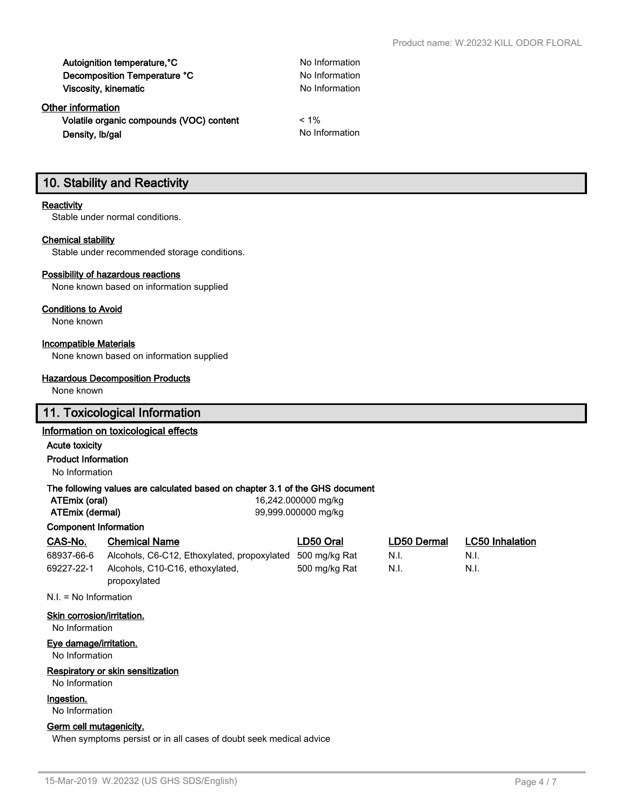Autoignition temperature, <sup>o</sup>C No Information **Decomposition Temperature °C** No Information **Viscosity, kinematic** No Information

**Other information Volatile organic compounds (VOC) content** < 1% **Density, Ib/gal No Information No Information** 

## **10. Stability and Reactivity**

#### **Reactivity**

Stable under normal conditions.

#### **Chemical stability**

Stable under recommended storage conditions.

#### **Possibility of hazardous reactions**

None known based on information supplied

#### **Conditions to Avoid**

None known

#### **Incompatible Materials**

None known based on information supplied

#### **Hazardous Decomposition Products**

None known

## **11. Toxicological Information**

#### **Information on toxicological effects**

#### **Acute toxicity**

**Product Information**

No Information

#### **The following values are calculated based on chapter 3.1 of the GHS document**

|                              | The following values are calculated based on chapter of Forthe SFIG document |                     |             |                        |
|------------------------------|------------------------------------------------------------------------------|---------------------|-------------|------------------------|
| ATEmix (oral)                |                                                                              | 16,242.000000 mg/kg |             |                        |
| ATEmix (dermal)              |                                                                              | 99,999,000000 mg/kg |             |                        |
| <b>Component Information</b> |                                                                              |                     |             |                        |
| CAS-No.                      | <b>Chemical Name</b>                                                         | LD50 Oral           | LD50 Dermal | <b>LC50 Inhalation</b> |
| 68937-66-6                   | Alcohols, C6-C12, Ethoxylated, propoxylated                                  | 500 mg/kg Rat       | N.I.        | N.I.                   |
| 69227-22-1                   | Alcohols, C10-C16, ethoxylated,<br>propoxylated                              | 500 mg/kg Rat       | N.I.        | N.I.                   |

N.I. = No Information

#### **Skin corrosion/irritation.**

No Information

#### **Eye damage/irritation.**

No Information

#### **Respiratory or skin sensitization**

No Information

#### **Ingestion.**

No Information

### **Germ cell mutagenicity.**

When symptoms persist or in all cases of doubt seek medical advice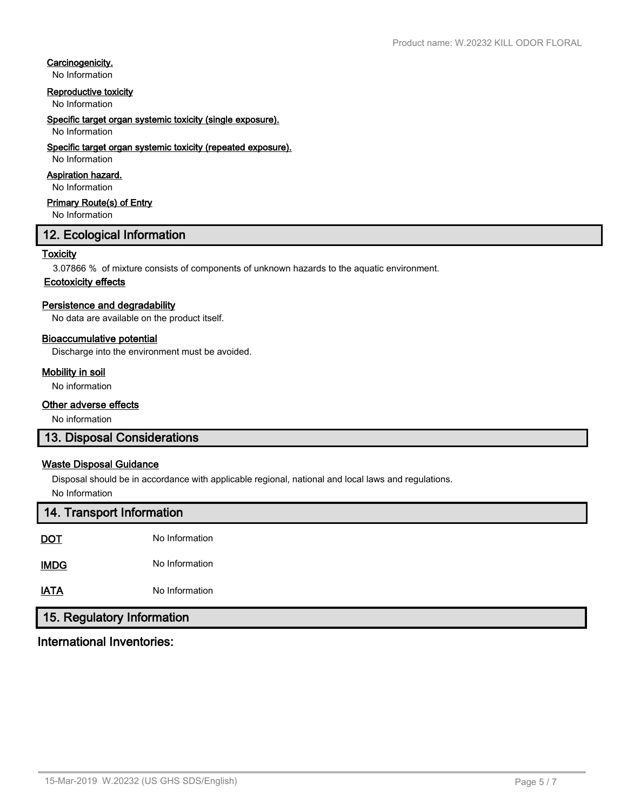## **Carcinogenicity.**

No Information

#### **Reproductive toxicity**

No Information

#### **Specific target organ systemic toxicity (single exposure).**

#### No Information

#### **Specific target organ systemic toxicity (repeated exposure).**

No Information

## **Aspiration hazard.**

No Information

## **Primary Route(s) of Entry**

No Information

## **12. Ecological Information**

#### **Toxicity**

3.07866 % of mixture consists of components of unknown hazards to the aquatic environment.

## **Ecotoxicity effects**

#### **Persistence and degradability**

No data are available on the product itself.

#### **Bioaccumulative potential**

Discharge into the environment must be avoided.

#### **Mobility in soil**

No information

#### **Other adverse effects**

No information

## **13. Disposal Considerations**

## **Waste Disposal Guidance**

Disposal should be in accordance with applicable regional, national and local laws and regulations. No Information

| 14. Transport Information  |                |  |  |
|----------------------------|----------------|--|--|
| <b>DOT</b>                 | No Information |  |  |
| <b>IMDG</b>                | No Information |  |  |
| <b>IATA</b>                | No Information |  |  |
| 15. Regulatory Information |                |  |  |

# **International Inventories:**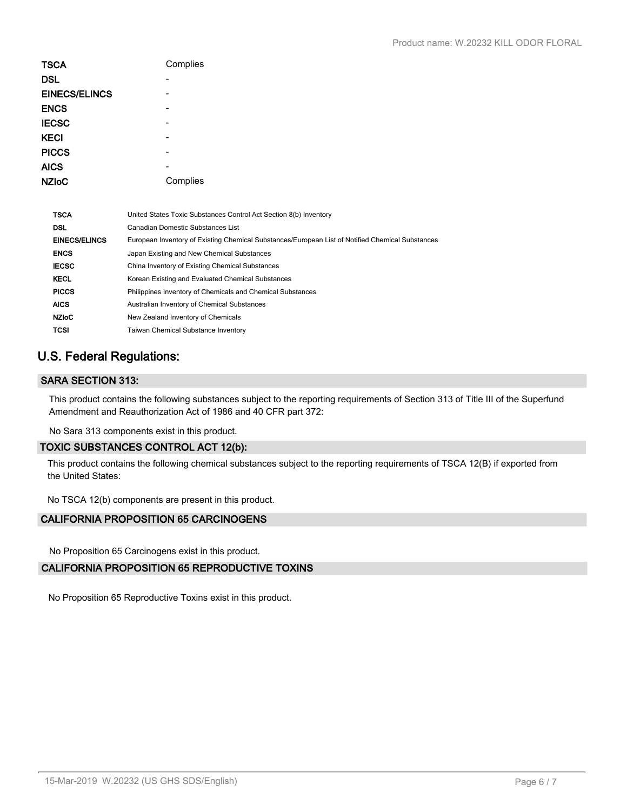| <b>TSCA</b>          | Complies |
|----------------------|----------|
| <b>DSL</b>           |          |
| <b>EINECS/ELINCS</b> |          |
| <b>ENCS</b>          |          |
| <b>IECSC</b>         |          |
| <b>KECI</b>          |          |
| <b>PICCS</b>         |          |
| <b>AICS</b>          |          |
| <b>NZIoC</b>         | Complies |

| Canadian Domestic Substances List<br>DSL                                                                                 |  |
|--------------------------------------------------------------------------------------------------------------------------|--|
| <b>EINECS/ELINCS</b><br>European Inventory of Existing Chemical Substances/European List of Notified Chemical Substances |  |
| <b>ENCS</b><br>Japan Existing and New Chemical Substances                                                                |  |
| <b>IECSC</b><br>China Inventory of Existing Chemical Substances                                                          |  |
| <b>KECL</b><br>Korean Existing and Evaluated Chemical Substances                                                         |  |
| <b>PICCS</b><br>Philippines Inventory of Chemicals and Chemical Substances                                               |  |
| <b>AICS</b><br>Australian Inventory of Chemical Substances                                                               |  |
| <b>NZIoC</b><br>New Zealand Inventory of Chemicals                                                                       |  |
| <b>TCSI</b><br><b>Taiwan Chemical Substance Inventory</b>                                                                |  |

## **U.S. Federal Regulations:**

## **SARA SECTION 313:**

This product contains the following substances subject to the reporting requirements of Section 313 of Title III of the Superfund Amendment and Reauthorization Act of 1986 and 40 CFR part 372:

No Sara 313 components exist in this product.

#### **TOXIC SUBSTANCES CONTROL ACT 12(b):**

This product contains the following chemical substances subject to the reporting requirements of TSCA 12(B) if exported from the United States:

No TSCA 12(b) components are present in this product.

## **CALIFORNIA PROPOSITION 65 CARCINOGENS**

No Proposition 65 Carcinogens exist in this product.

## **CALIFORNIA PROPOSITION 65 REPRODUCTIVE TOXINS**

No Proposition 65 Reproductive Toxins exist in this product.